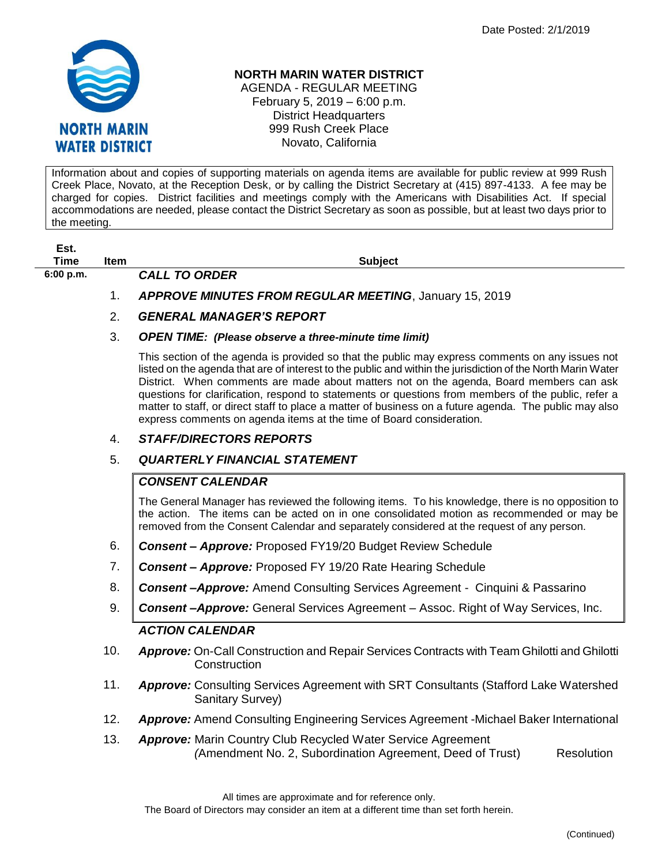

### **NORTH MARIN WATER DISTRICT**

AGENDA - REGULAR MEETING February 5, 2019 – 6:00 p.m. District Headquarters 999 Rush Creek Place Novato, California

Information about and copies of supporting materials on agenda items are available for public review at 999 Rush Creek Place, Novato, at the Reception Desk, or by calling the District Secretary at (415) 897-4133. A fee may be charged for copies. District facilities and meetings comply with the Americans with Disabilities Act. If special accommodations are needed, please contact the District Secretary as soon as possible, but at least two days prior to the meeting.

| Est. |  |
|------|--|
| Time |  |

**6:00 p.m.** *CALL TO ORDER* 

**The Item Item Subject** 

1. *APPROVE MINUTES FROM REGULAR MEETING*, January 15, 2019

# 2. *GENERAL MANAGER'S REPORT*

#### 3. *OPEN TIME: (Please observe a three-minute time limit)*

This section of the agenda is provided so that the public may express comments on any issues not listed on the agenda that are of interest to the public and within the jurisdiction of the North Marin Water District. When comments are made about matters not on the agenda, Board members can ask questions for clarification, respond to statements or questions from members of the public, refer a matter to staff, or direct staff to place a matter of business on a future agenda. The public may also express comments on agenda items at the time of Board consideration.

### 4. *STAFF/DIRECTORS REPORTS*

# 5. *QUARTERLY FINANCIAL STATEMENT*

# *CONSENT CALENDAR*

The General Manager has reviewed the following items. To his knowledge, there is no opposition to the action. The items can be acted on in one consolidated motion as recommended or may be removed from the Consent Calendar and separately considered at the request of any person.

- 6. *Consent – Approve:* Proposed FY19/20 Budget Review Schedule
- 7. *Consent – Approve:* Proposed FY 19/20 Rate Hearing Schedule
- 8. *Consent –Approve:* Amend Consulting Services Agreement Cinquini & Passarino
- 9. *Consent –Approve:* General Services Agreement Assoc. Right of Way Services, Inc.

# *ACTION CALENDAR*

- 10. *Approve:* On-Call Construction and Repair Services Contracts with Team Ghilotti and Ghilotti **Construction**
- 11. *Approve:* Consulting Services Agreement with SRT Consultants (Stafford Lake Watershed Sanitary Survey)
- 12. *Approve:* Amend Consulting Engineering Services Agreement -Michael Baker International
- 13. *Approve:* Marin Country Club Recycled Water Service Agreement  *(*Amendment No. 2, Subordination Agreement, Deed of Trust) Resolution

All times are approximate and for reference only.

The Board of Directors may consider an item at a different time than set forth herein.